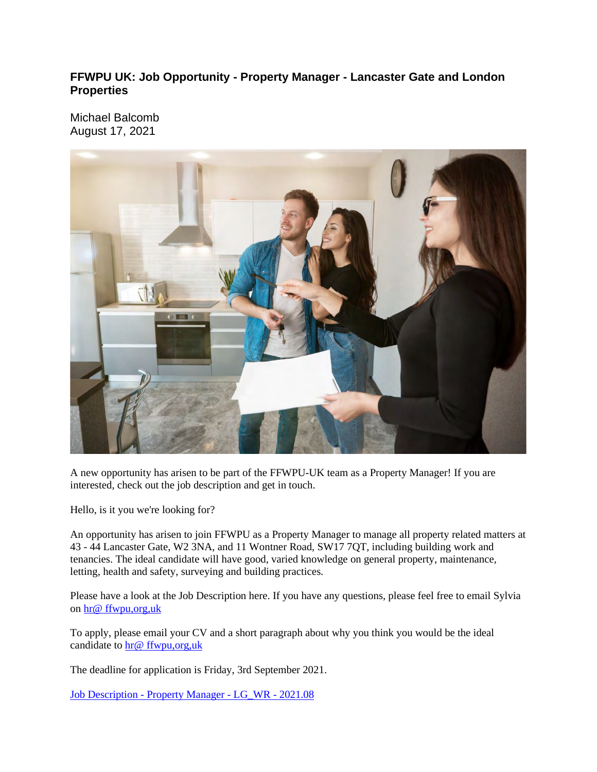### **FFWPU UK: Job Opportunity - Property Manager - Lancaster Gate and London Properties**

Michael Balcomb August 17, 2021



A new opportunity has arisen to be part of the FFWPU-UK team as a Property Manager! If you are interested, check out the job description and get in touch.

Hello, is it you we're looking for?

An opportunity has arisen to join FFWPU as a Property Manager to manage all property related matters at 43 - 44 Lancaster Gate, W2 3NA, and 11 Wontner Road, SW17 7QT, including building work and tenancies. The ideal candidate will have good, varied knowledge on general property, maintenance, letting, health and safety, surveying and building practices.

Please have a look at the Job Description here. If you have any questions, please feel free to email Sylvia on hr@ ffwpu,org,uk

To apply, please email your CV and a short paragraph about why you think you would be the ideal candidate to hr@ ffwpu,org,uk

The deadline for application is Friday, 3rd September 2021.

Job Description - Property Manager - LG\_WR - 2021.08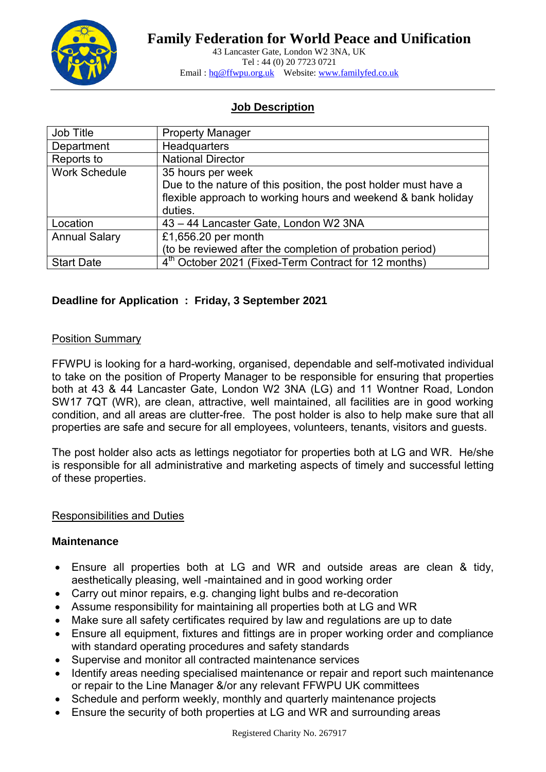

43 Lancaster Gate, London W2 3NA, UK Tel : 44 (0) 20 7723 0721 Email: hq@ffwpu.org.uk Website: www.familyfed.co.uk

# **Job Description**

| Job Title            | <b>Property Manager</b>                                          |
|----------------------|------------------------------------------------------------------|
| Department           | Headquarters                                                     |
| Reports to           | <b>National Director</b>                                         |
| <b>Work Schedule</b> | 35 hours per week                                                |
|                      | Due to the nature of this position, the post holder must have a  |
|                      | flexible approach to working hours and weekend & bank holiday    |
|                      | duties.                                                          |
| Location             | 43 - 44 Lancaster Gate, London W2 3NA                            |
| <b>Annual Salary</b> | £1,656.20 per month                                              |
|                      | (to be reviewed after the completion of probation period)        |
| <b>Start Date</b>    | 4 <sup>th</sup> October 2021 (Fixed-Term Contract for 12 months) |

## **Deadline for Application : Friday, 3 September 2021**

### Position Summary

FFWPU is looking for a hard-working, organised, dependable and self-motivated individual to take on the position of Property Manager to be responsible for ensuring that properties both at 43 & 44 Lancaster Gate, London W2 3NA (LG) and 11 Wontner Road, London SW17 7QT (WR), are clean, attractive, well maintained, all facilities are in good working condition, and all areas are clutter-free. The post holder is also to help make sure that all properties are safe and secure for all employees, volunteers, tenants, visitors and guests.

The post holder also acts as lettings negotiator for properties both at LG and WR. He/she is responsible for all administrative and marketing aspects of timely and successful letting of these properties.

### Responsibilities and Duties

### **Maintenance**

- Ensure all properties both at LG and WR and outside areas are clean & tidy, aesthetically pleasing, well -maintained and in good working order
- Carry out minor repairs, e.g. changing light bulbs and re-decoration
- Assume responsibility for maintaining all properties both at LG and WR
- Make sure all safety certificates required by law and regulations are up to date
- Ensure all equipment, fixtures and fittings are in proper working order and compliance with standard operating procedures and safety standards
- Supervise and monitor all contracted maintenance services
- Identify areas needing specialised maintenance or repair and report such maintenance or repair to the Line Manager &/or any relevant FFWPU UK committees
- Schedule and perform weekly, monthly and quarterly maintenance projects
- Ensure the security of both properties at LG and WR and surrounding areas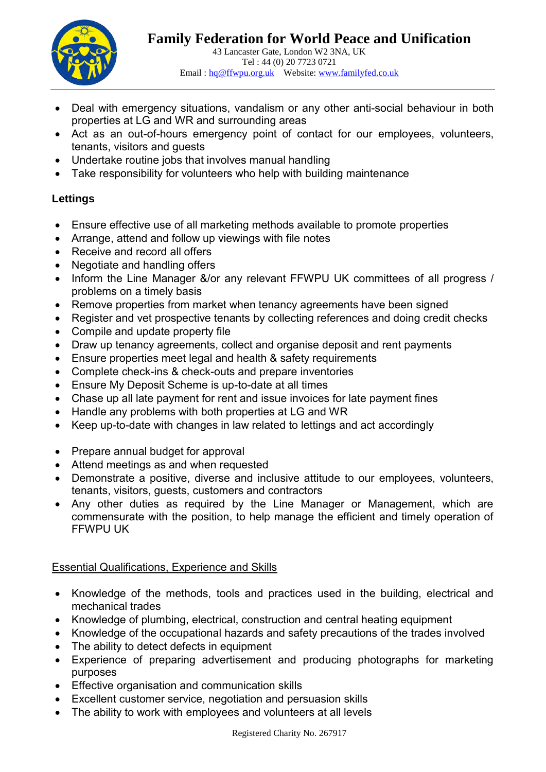

- Deal with emergency situations, vandalism or any other anti-social behaviour in both properties at LG and WR and surrounding areas
- Act as an out-of-hours emergency point of contact for our employees, volunteers, tenants, visitors and guests
- Undertake routine jobs that involves manual handling
- Take responsibility for volunteers who help with building maintenance

# **Lettings**

- Ensure effective use of all marketing methods available to promote properties
- Arrange, attend and follow up viewings with file notes
- Receive and record all offers
- Negotiate and handling offers
- Inform the Line Manager &/or any relevant FFWPU UK committees of all progress / problems on a timely basis
- Remove properties from market when tenancy agreements have been signed
- Register and vet prospective tenants by collecting references and doing credit checks
- Compile and update property file
- Draw up tenancy agreements, collect and organise deposit and rent payments
- Ensure properties meet legal and health & safety requirements
- Complete check-ins & check-outs and prepare inventories
- Ensure My Deposit Scheme is up-to-date at all times
- Chase up all late payment for rent and issue invoices for late payment fines
- Handle any problems with both properties at LG and WR
- Keep up-to-date with changes in law related to lettings and act accordingly
- Prepare annual budget for approval
- Attend meetings as and when requested
- Demonstrate a positive, diverse and inclusive attitude to our employees, volunteers, tenants, visitors, guests, customers and contractors
- Any other duties as required by the Line Manager or Management, which are commensurate with the position, to help manage the efficient and timely operation of FFWPU UK

## Essential Qualifications, Experience and Skills

- Knowledge of the methods, tools and practices used in the building, electrical and mechanical trades
- Knowledge of plumbing, electrical, construction and central heating equipment
- Knowledge of the occupational hazards and safety precautions of the trades involved
- The ability to detect defects in equipment
- Experience of preparing advertisement and producing photographs for marketing purposes
- Effective organisation and communication skills
- Excellent customer service, negotiation and persuasion skills
- The ability to work with employees and volunteers at all levels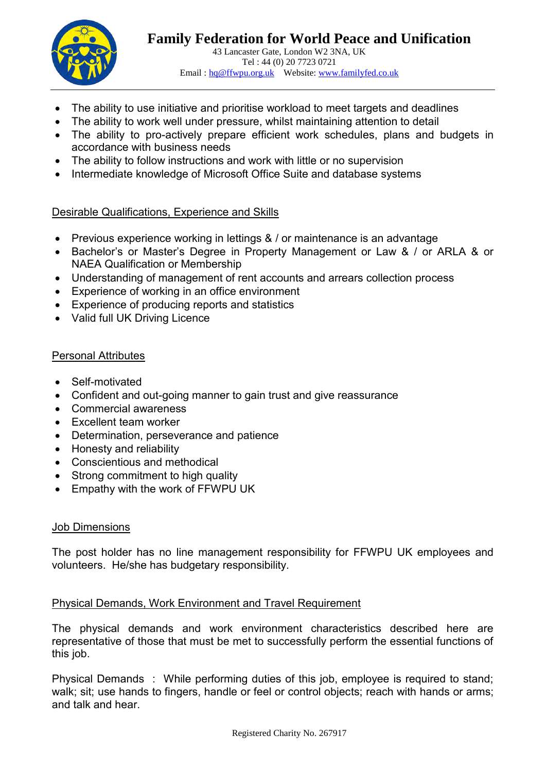

- The ability to use initiative and prioritise workload to meet targets and deadlines
- The ability to work well under pressure, whilst maintaining attention to detail
- The ability to pro-actively prepare efficient work schedules, plans and budgets in accordance with business needs
- The ability to follow instructions and work with little or no supervision
- Intermediate knowledge of Microsoft Office Suite and database systems

### Desirable Qualifications, Experience and Skills

- Previous experience working in lettings & / or maintenance is an advantage
- Bachelor's or Master's Degree in Property Management or Law & / or ARLA & or NAEA Qualification or Membership
- Understanding of management of rent accounts and arrears collection process
- Experience of working in an office environment
- Experience of producing reports and statistics
- Valid full UK Driving Licence

### Personal Attributes

- Self-motivated
- Confident and out-going manner to gain trust and give reassurance
- Commercial awareness
- Excellent team worker
- Determination, perseverance and patience
- Honesty and reliability
- Conscientious and methodical
- Strong commitment to high quality
- Empathy with the work of FFWPU UK

### Job Dimensions

The post holder has no line management responsibility for FFWPU UK employees and volunteers. He/she has budgetary responsibility.

### Physical Demands, Work Environment and Travel Requirement

The physical demands and work environment characteristics described here are representative of those that must be met to successfully perform the essential functions of this job.

Physical Demands : While performing duties of this job, employee is required to stand; walk; sit; use hands to fingers, handle or feel or control objects; reach with hands or arms; and talk and hear.